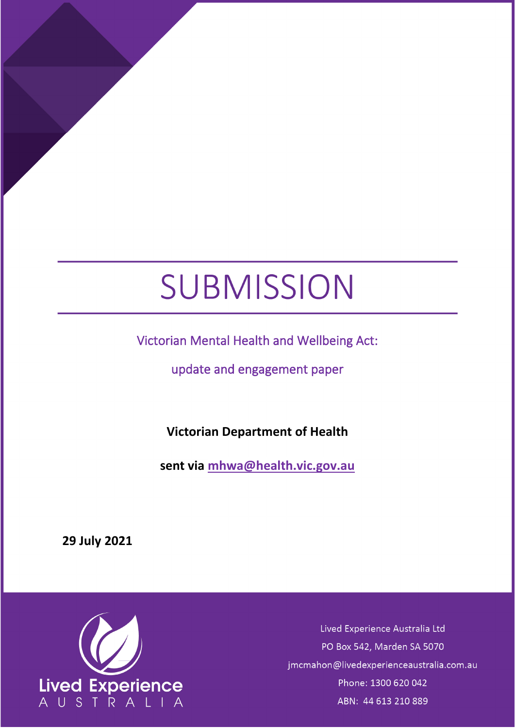# SUBMISSION

Victorian Mental Health and Wellbeing Act:

update and engagement paper

**Victorian Department of Health** 

**sent via [mhwa@health.vic.gov.au](mailto:mhwa@health.vic.gov.au)**

**29 July 2021**



Lived Experience Australia Ltd PO Box 542, Marden SA 5070 jmcmahon@livedexperienceaustralia.com.au Phone: 1300 620 042 ABN: 44 613 210 889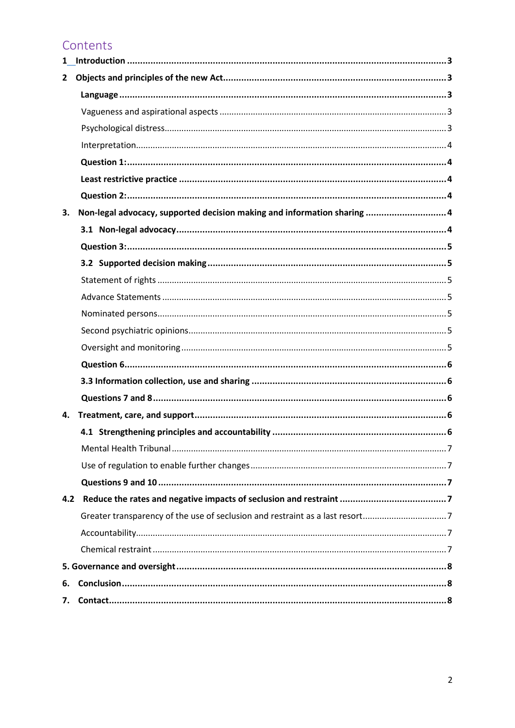# Contents

| $\mathbf{2}$ |                                                                              |  |
|--------------|------------------------------------------------------------------------------|--|
|              |                                                                              |  |
|              |                                                                              |  |
|              |                                                                              |  |
|              |                                                                              |  |
|              |                                                                              |  |
|              |                                                                              |  |
|              |                                                                              |  |
| 3.           | Non-legal advocacy, supported decision making and information sharing  4     |  |
|              |                                                                              |  |
|              |                                                                              |  |
|              |                                                                              |  |
|              |                                                                              |  |
|              |                                                                              |  |
|              |                                                                              |  |
|              |                                                                              |  |
|              |                                                                              |  |
|              |                                                                              |  |
|              |                                                                              |  |
|              |                                                                              |  |
| 4.           |                                                                              |  |
|              |                                                                              |  |
|              |                                                                              |  |
|              |                                                                              |  |
|              |                                                                              |  |
| 4.2          |                                                                              |  |
|              | Greater transparency of the use of seclusion and restraint as a last resort7 |  |
|              |                                                                              |  |
|              |                                                                              |  |
|              |                                                                              |  |
| 6.           |                                                                              |  |
| 7.           |                                                                              |  |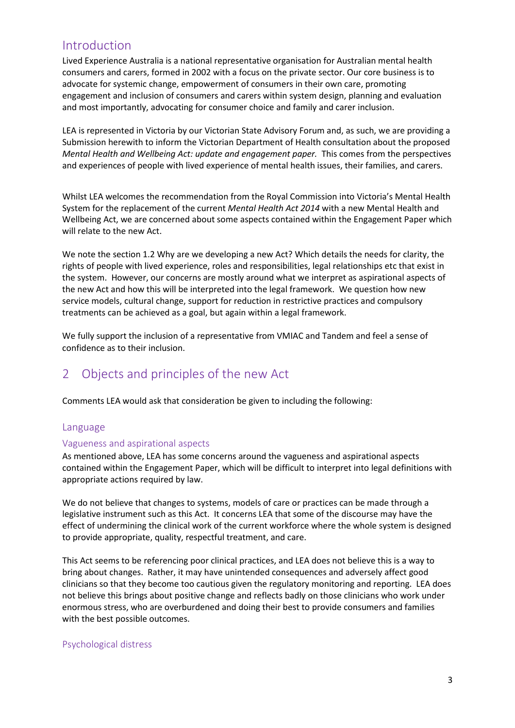# <span id="page-2-0"></span>Introduction

Lived Experience Australia is a national representative organisation for Australian mental health consumers and carers, formed in 2002 with a focus on the private sector. Our core business is to advocate for systemic change, empowerment of consumers in their own care, promoting engagement and inclusion of consumers and carers within system design, planning and evaluation and most importantly, advocating for consumer choice and family and carer inclusion.

LEA is represented in Victoria by our Victorian State Advisory Forum and, as such, we are providing a Submission herewith to inform the Victorian Department of Health consultation about the proposed *Mental Health and Wellbeing Act: update and engagement paper.* This comes from the perspectives and experiences of people with lived experience of mental health issues, their families, and carers.

Whilst LEA welcomes the recommendation from the Royal Commission into Victoria's Mental Health System for the replacement of the current *Mental Health Act 2014* with a new Mental Health and Wellbeing Act, we are concerned about some aspects contained within the Engagement Paper which will relate to the new Act.

We note the section 1.2 Why are we developing a new Act? Which details the needs for clarity, the rights of people with lived experience, roles and responsibilities, legal relationships etc that exist in the system. However, our concerns are mostly around what we interpret as aspirational aspects of the new Act and how this will be interpreted into the legal framework. We question how new service models, cultural change, support for reduction in restrictive practices and compulsory treatments can be achieved as a goal, but again within a legal framework.

We fully support the inclusion of a representative from VMIAC and Tandem and feel a sense of confidence as to their inclusion.

# <span id="page-2-1"></span>2 Objects and principles of the new Act

Comments LEA would ask that consideration be given to including the following:

#### <span id="page-2-2"></span>Language

#### <span id="page-2-3"></span>Vagueness and aspirational aspects

As mentioned above, LEA has some concerns around the vagueness and aspirational aspects contained within the Engagement Paper, which will be difficult to interpret into legal definitions with appropriate actions required by law.

We do not believe that changes to systems, models of care or practices can be made through a legislative instrument such as this Act. It concerns LEA that some of the discourse may have the effect of undermining the clinical work of the current workforce where the whole system is designed to provide appropriate, quality, respectful treatment, and care.

This Act seems to be referencing poor clinical practices, and LEA does not believe this is a way to bring about changes. Rather, it may have unintended consequences and adversely affect good clinicians so that they become too cautious given the regulatory monitoring and reporting. LEA does not believe this brings about positive change and reflects badly on those clinicians who work under enormous stress, who are overburdened and doing their best to provide consumers and families with the best possible outcomes.

#### <span id="page-2-4"></span>Psychological distress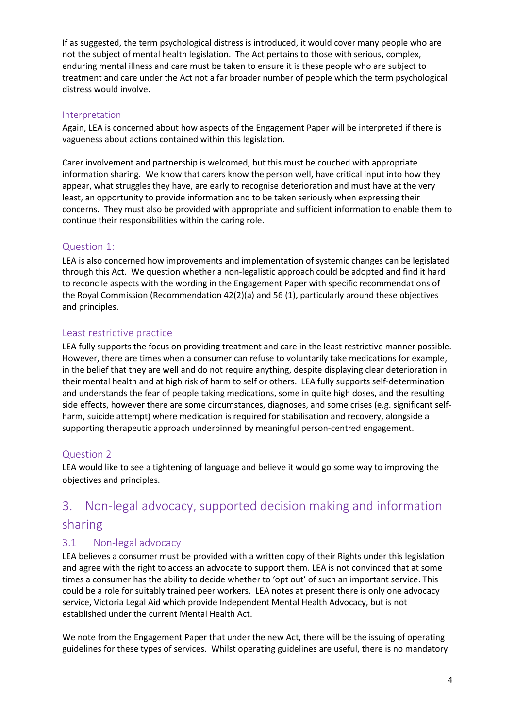If as suggested, the term psychological distress is introduced, it would cover many people who are not the subject of mental health legislation. The Act pertains to those with serious, complex, enduring mental illness and care must be taken to ensure it is these people who are subject to treatment and care under the Act not a far broader number of people which the term psychological distress would involve.

#### <span id="page-3-0"></span>Interpretation

Again, LEA is concerned about how aspects of the Engagement Paper will be interpreted if there is vagueness about actions contained within this legislation.

Carer involvement and partnership is welcomed, but this must be couched with appropriate information sharing. We know that carers know the person well, have critical input into how they appear, what struggles they have, are early to recognise deterioration and must have at the very least, an opportunity to provide information and to be taken seriously when expressing their concerns. They must also be provided with appropriate and sufficient information to enable them to continue their responsibilities within the caring role.

## <span id="page-3-1"></span>Question 1:

LEA is also concerned how improvements and implementation of systemic changes can be legislated through this Act. We question whether a non-legalistic approach could be adopted and find it hard to reconcile aspects with the wording in the Engagement Paper with specific recommendations of the Royal Commission (Recommendation 42(2)(a) and 56 (1), particularly around these objectives and principles.

#### <span id="page-3-2"></span>Least restrictive practice

LEA fully supports the focus on providing treatment and care in the least restrictive manner possible. However, there are times when a consumer can refuse to voluntarily take medications for example, in the belief that they are well and do not require anything, despite displaying clear deterioration in their mental health and at high risk of harm to self or others. LEA fully supports self-determination and understands the fear of people taking medications, some in quite high doses, and the resulting side effects, however there are some circumstances, diagnoses, and some crises (e.g. significant selfharm, suicide attempt) where medication is required for stabilisation and recovery, alongside a supporting therapeutic approach underpinned by meaningful person-centred engagement.

## <span id="page-3-3"></span>Question 2

LEA would like to see a tightening of language and believe it would go some way to improving the objectives and principles.

# <span id="page-3-4"></span>3. Non-legal advocacy, supported decision making and information sharing

## <span id="page-3-5"></span>3.1 Non-legal advocacy

LEA believes a consumer must be provided with a written copy of their Rights under this legislation and agree with the right to access an advocate to support them. LEA is not convinced that at some times a consumer has the ability to decide whether to 'opt out' of such an important service. This could be a role for suitably trained peer workers. LEA notes at present there is only one advocacy service, Victoria Legal Aid which provide Independent Mental Health Advocacy, but is not established under the current Mental Health Act.

We note from the Engagement Paper that under the new Act, there will be the issuing of operating guidelines for these types of services. Whilst operating guidelines are useful, there is no mandatory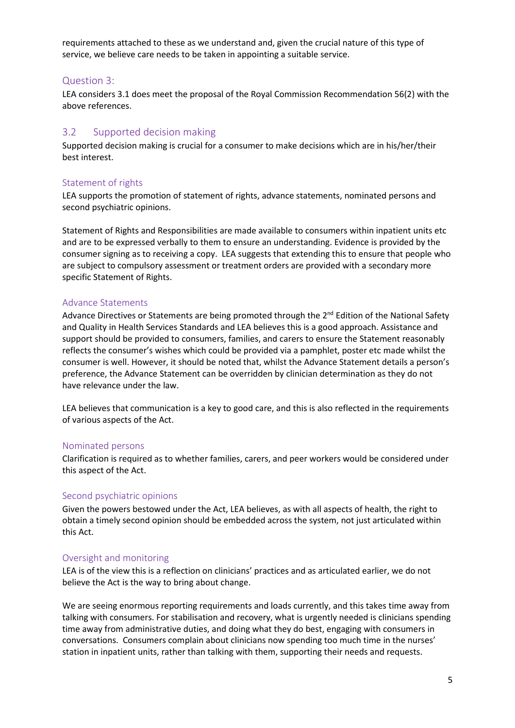requirements attached to these as we understand and, given the crucial nature of this type of service, we believe care needs to be taken in appointing a suitable service.

#### <span id="page-4-0"></span>Question 3:

LEA considers 3.1 does meet the proposal of the Royal Commission Recommendation 56(2) with the above references.

## <span id="page-4-1"></span>3.2 Supported decision making

Supported decision making is crucial for a consumer to make decisions which are in his/her/their best interest.

#### <span id="page-4-2"></span>Statement of rights

LEA supports the promotion of statement of rights, advance statements, nominated persons and second psychiatric opinions.

Statement of Rights and Responsibilities are made available to consumers within inpatient units etc and are to be expressed verbally to them to ensure an understanding. Evidence is provided by the consumer signing as to receiving a copy. LEA suggests that extending this to ensure that people who are subject to compulsory assessment or treatment orders are provided with a secondary more specific Statement of Rights.

#### <span id="page-4-3"></span>Advance Statements

Advance Directives or Statements are being promoted through the 2<sup>nd</sup> Edition of the National Safety and Quality in Health Services Standards and LEA believes this is a good approach. Assistance and support should be provided to consumers, families, and carers to ensure the Statement reasonably reflects the consumer's wishes which could be provided via a pamphlet, poster etc made whilst the consumer is well. However, it should be noted that, whilst the Advance Statement details a person's preference, the Advance Statement can be overridden by clinician determination as they do not have relevance under the law.

LEA believes that communication is a key to good care, and this is also reflected in the requirements of various aspects of the Act.

#### <span id="page-4-4"></span>Nominated persons

Clarification is required as to whether families, carers, and peer workers would be considered under this aspect of the Act.

#### <span id="page-4-5"></span>Second psychiatric opinions

Given the powers bestowed under the Act, LEA believes, as with all aspects of health, the right to obtain a timely second opinion should be embedded across the system, not just articulated within this Act.

#### <span id="page-4-6"></span>Oversight and monitoring

LEA is of the view this is a reflection on clinicians' practices and as articulated earlier, we do not believe the Act is the way to bring about change.

We are seeing enormous reporting requirements and loads currently, and this takes time away from talking with consumers. For stabilisation and recovery, what is urgently needed is clinicians spending time away from administrative duties, and doing what they do best, engaging with consumers in conversations. Consumers complain about clinicians now spending too much time in the nurses' station in inpatient units, rather than talking with them, supporting their needs and requests.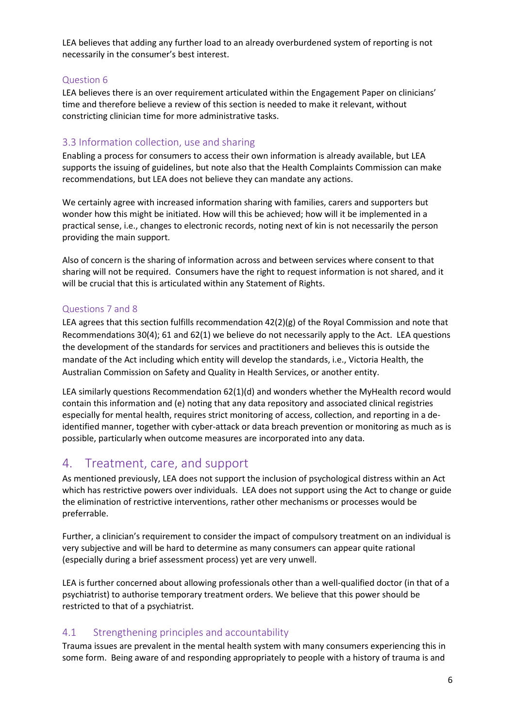LEA believes that adding any further load to an already overburdened system of reporting is not necessarily in the consumer's best interest.

#### <span id="page-5-0"></span>Question 6

LEA believes there is an over requirement articulated within the Engagement Paper on clinicians' time and therefore believe a review of this section is needed to make it relevant, without constricting clinician time for more administrative tasks.

## <span id="page-5-1"></span>3.3 Information collection, use and sharing

Enabling a process for consumers to access their own information is already available, but LEA supports the issuing of guidelines, but note also that the Health Complaints Commission can make recommendations, but LEA does not believe they can mandate any actions.

We certainly agree with increased information sharing with families, carers and supporters but wonder how this might be initiated. How will this be achieved; how will it be implemented in a practical sense, i.e., changes to electronic records, noting next of kin is not necessarily the person providing the main support.

Also of concern is the sharing of information across and between services where consent to that sharing will not be required. Consumers have the right to request information is not shared, and it will be crucial that this is articulated within any Statement of Rights.

## <span id="page-5-2"></span>Questions 7 and 8

LEA agrees that this section fulfills recommendation 42(2)(g) of the Royal Commission and note that Recommendations 30(4); 61 and 62(1) we believe do not necessarily apply to the Act. LEA questions the development of the standards for services and practitioners and believes this is outside the mandate of the Act including which entity will develop the standards, i.e., Victoria Health, the Australian Commission on Safety and Quality in Health Services, or another entity.

LEA similarly questions Recommendation 62(1)(d) and wonders whether the MyHealth record would contain this information and (e) noting that any data repository and associated clinical registries especially for mental health, requires strict monitoring of access, collection, and reporting in a deidentified manner, together with cyber-attack or data breach prevention or monitoring as much as is possible, particularly when outcome measures are incorporated into any data.

# <span id="page-5-3"></span>4. Treatment, care, and support

As mentioned previously, LEA does not support the inclusion of psychological distress within an Act which has restrictive powers over individuals. LEA does not support using the Act to change or guide the elimination of restrictive interventions, rather other mechanisms or processes would be preferrable.

Further, a clinician's requirement to consider the impact of compulsory treatment on an individual is very subjective and will be hard to determine as many consumers can appear quite rational (especially during a brief assessment process) yet are very unwell.

LEA is further concerned about allowing professionals other than a well-qualified doctor (in that of a psychiatrist) to authorise temporary treatment orders. We believe that this power should be restricted to that of a psychiatrist.

## <span id="page-5-4"></span>4.1 Strengthening principles and accountability

Trauma issues are prevalent in the mental health system with many consumers experiencing this in some form. Being aware of and responding appropriately to people with a history of trauma is and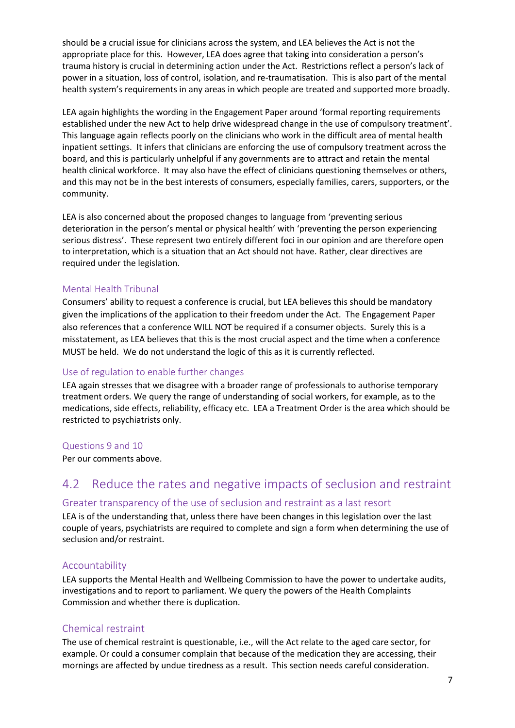should be a crucial issue for clinicians across the system, and LEA believes the Act is not the appropriate place for this. However, LEA does agree that taking into consideration a person's trauma history is crucial in determining action under the Act. Restrictions reflect a person's lack of power in a situation, loss of control, isolation, and re-traumatisation. This is also part of the mental health system's requirements in any areas in which people are treated and supported more broadly.

LEA again highlights the wording in the Engagement Paper around 'formal reporting requirements established under the new Act to help drive widespread change in the use of compulsory treatment'. This language again reflects poorly on the clinicians who work in the difficult area of mental health inpatient settings. It infers that clinicians are enforcing the use of compulsory treatment across the board, and this is particularly unhelpful if any governments are to attract and retain the mental health clinical workforce. It may also have the effect of clinicians questioning themselves or others, and this may not be in the best interests of consumers, especially families, carers, supporters, or the community.

LEA is also concerned about the proposed changes to language from 'preventing serious deterioration in the person's mental or physical health' with 'preventing the person experiencing serious distress'. These represent two entirely different foci in our opinion and are therefore open to interpretation, which is a situation that an Act should not have. Rather, clear directives are required under the legislation.

#### <span id="page-6-0"></span>Mental Health Tribunal

Consumers' ability to request a conference is crucial, but LEA believes this should be mandatory given the implications of the application to their freedom under the Act. The Engagement Paper also references that a conference WILL NOT be required if a consumer objects. Surely this is a misstatement, as LEA believes that this is the most crucial aspect and the time when a conference MUST be held. We do not understand the logic of this as it is currently reflected.

#### <span id="page-6-1"></span>Use of regulation to enable further changes

LEA again stresses that we disagree with a broader range of professionals to authorise temporary treatment orders. We query the range of understanding of social workers, for example, as to the medications, side effects, reliability, efficacy etc. LEA a Treatment Order is the area which should be restricted to psychiatrists only.

#### <span id="page-6-2"></span>Questions 9 and 10

Per our comments above.

# <span id="page-6-3"></span>4.2 Reduce the rates and negative impacts of seclusion and restraint

#### <span id="page-6-4"></span>Greater transparency of the use of seclusion and restraint as a last resort

LEA is of the understanding that, unless there have been changes in this legislation over the last couple of years, psychiatrists are required to complete and sign a form when determining the use of seclusion and/or restraint.

#### <span id="page-6-5"></span>Accountability

LEA supports the Mental Health and Wellbeing Commission to have the power to undertake audits, investigations and to report to parliament. We query the powers of the Health Complaints Commission and whether there is duplication.

#### <span id="page-6-6"></span>Chemical restraint

The use of chemical restraint is questionable, i.e., will the Act relate to the aged care sector, for example. Or could a consumer complain that because of the medication they are accessing, their mornings are affected by undue tiredness as a result. This section needs careful consideration.